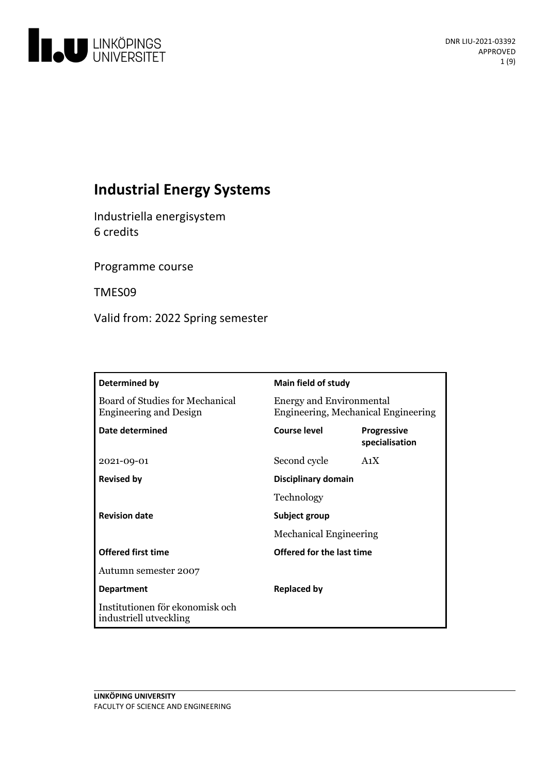

# **Industrial Energy Systems**

Industriella energisystem 6 credits

Programme course

TMES09

Valid from: 2022 Spring semester

| Determined by                                                    | Main field of study                                                    |                                      |
|------------------------------------------------------------------|------------------------------------------------------------------------|--------------------------------------|
| Board of Studies for Mechanical<br><b>Engineering and Design</b> | <b>Energy and Environmental</b><br>Engineering, Mechanical Engineering |                                      |
| Date determined                                                  | <b>Course level</b>                                                    | <b>Progressive</b><br>specialisation |
| 2021-09-01                                                       | Second cycle                                                           | A <sub>1</sub> X                     |
| <b>Revised by</b>                                                | Disciplinary domain                                                    |                                      |
|                                                                  | Technology                                                             |                                      |
| <b>Revision date</b>                                             | Subject group<br><b>Mechanical Engineering</b>                         |                                      |
|                                                                  |                                                                        |                                      |
| <b>Offered first time</b>                                        | Offered for the last time                                              |                                      |
| Autumn semester 2007                                             |                                                                        |                                      |
| <b>Department</b>                                                | <b>Replaced by</b>                                                     |                                      |
| Institutionen för ekonomisk och<br>industriell utveckling        |                                                                        |                                      |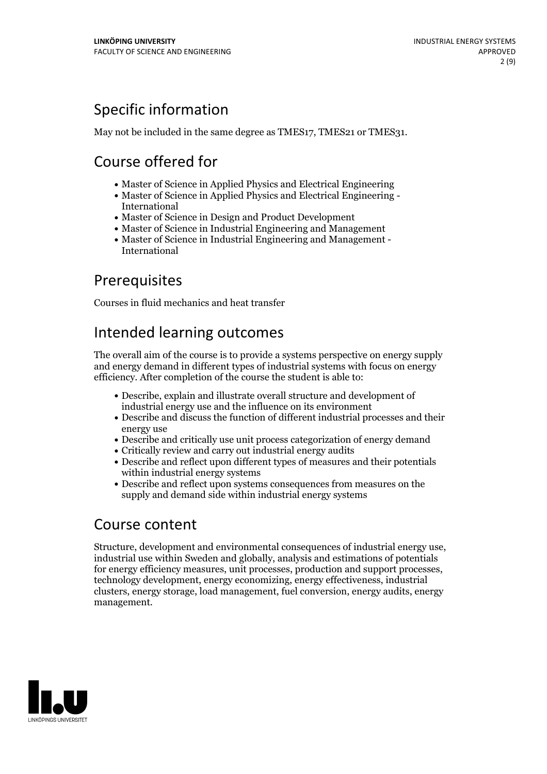# Specific information

May not be included in the same degree as TMES17, TMES21 or TMES31.

# Course offered for

- Master of Science in Applied Physics and Electrical Engineering
- Master of Science in Applied Physics and Electrical Engineering International
- Master of Science in Design and Product Development
- Master of Science in Industrial Engineering and Management
- Master of Science in Industrial Engineering and Management International

## **Prerequisites**

Courses in fluid mechanics and heat transfer

## Intended learning outcomes

The overall aim of the course is to provide a systems perspective on energy supply and energy demand in different types of industrial systems with focus on energy efficiency. After completion of the course the student is able to:

- Describe, explain and illustrate overall structure and development of industrial energy use and the influence on its environment
- Describe and discuss the function of different industrial processes and their energy use
- Describe and critically use unit process categorization of energy demand
- Critically review and carry out industrial energy audits
- Describe and reflect upon different types of measures and their potentials within industrial energy systems
- Describe and reflect upon systems consequences from measures on the supply and demand side within industrial energy systems

## Course content

Structure, development and environmental consequences of industrial energy use, industrial use within Sweden and globally, analysis and estimations of potentials for energy efficiency measures, unit processes, production and support processes, technology development, energy economizing, energy effectiveness, industrial clusters, energy storage, load management, fuel conversion, energy audits, energy management.

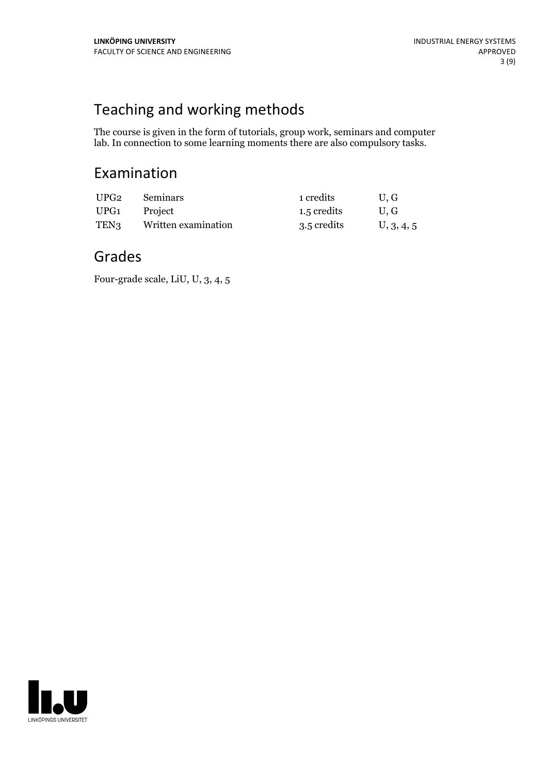# Teaching and working methods

The course is given in the form of tutorials, group work, seminars and computer lab. In connection to some learning moments there are also compulsory tasks.

## Examination

| UPG2 | <b>Seminars</b>     | 1 credits   | U.G        |
|------|---------------------|-------------|------------|
| UPG1 | Project             | 1.5 credits | U.G        |
| TEN3 | Written examination | 3.5 credits | U, 3, 4, 5 |

## Grades

Four-grade scale, LiU, U, 3, 4, 5

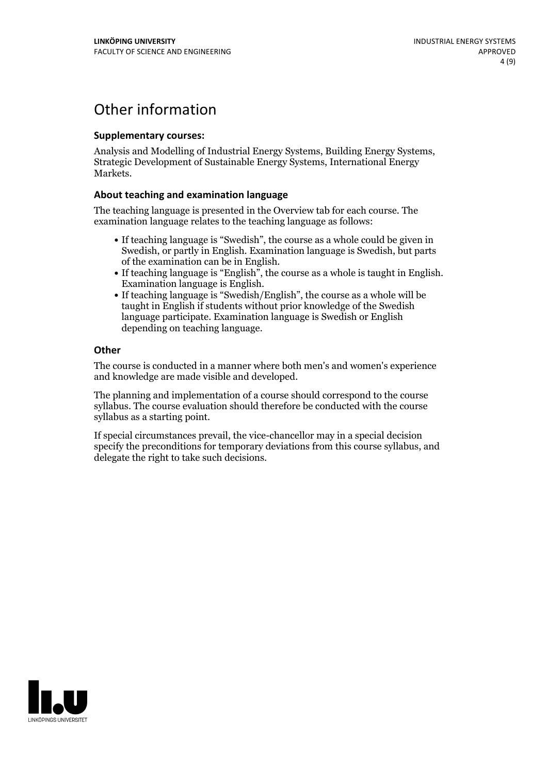## Other information

#### **Supplementarycourses:**

Analysis and Modelling of Industrial Energy Systems, Building Energy Systems, Strategic Development of Sustainable Energy Systems, International Energy Markets.

### **About teaching and examination language**

The teaching language is presented in the Overview tab for each course. The examination language relates to the teaching language as follows:

- If teaching language is "Swedish", the course as a whole could be given in Swedish, or partly in English. Examination language is Swedish, but parts
- of the examination can be in English. If teaching language is "English", the course as <sup>a</sup> whole is taught in English. Examination language is English. If teaching language is "Swedish/English", the course as <sup>a</sup> whole will be
- taught in English if students without prior knowledge of the Swedish language participate. Examination language is Swedish or English depending on teaching language.

### **Other**

The course is conducted in a manner where both men's and women's experience and knowledge are made visible and developed.

The planning and implementation of a course should correspond to the course syllabus. The course evaluation should therefore be conducted with the course syllabus as a starting point.

If special circumstances prevail, the vice-chancellor may in a special decision specify the preconditions for temporary deviations from this course syllabus, and delegate the right to take such decisions.

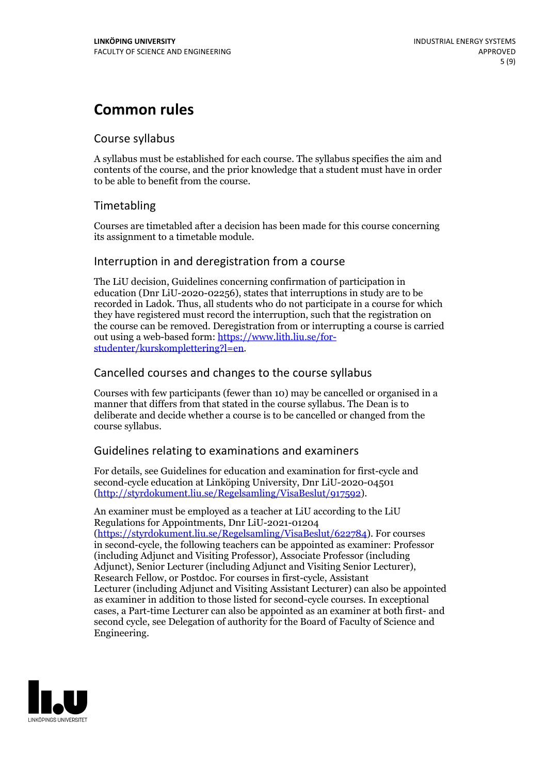## **Common rules**

## Course syllabus

A syllabus must be established for each course. The syllabus specifies the aim and contents of the course, and the prior knowledge that a student must have in order to be able to benefit from the course.

## Timetabling

Courses are timetabled after a decision has been made for this course concerning its assignment to a timetable module.

## Interruption in and deregistration from a course

The LiU decision, Guidelines concerning confirmation of participation in education (Dnr LiU-2020-02256), states that interruptions in study are to be recorded in Ladok. Thus, all students who do not participate in a course for which they have registered must record the interruption, such that the registration on the course can be removed. Deregistration from or interrupting a course is carried out using <sup>a</sup> web-based form: https://www.lith.liu.se/for- [studenter/kurskomplettering?l=en.](https://www.lith.liu.se/for-studenter/kurskomplettering?l=en)

## Cancelled courses and changes to the course syllabus

Courses with few participants (fewer than 10) may be cancelled or organised in a manner that differs from that stated in the course syllabus. The Dean is to deliberate and decide whether a course is to be cancelled or changed from the course syllabus.

## Guidelines relating to examinations and examiners

For details, see Guidelines for education and examination for first-cycle and second-cycle education at Linköping University, Dnr LiU-2020-04501 [\(http://styrdokument.liu.se/Regelsamling/VisaBeslut/917592\)](http://styrdokument.liu.se/Regelsamling/VisaBeslut/917592).

An examiner must be employed as a teacher at LiU according to the LiU Regulations for Appointments, Dnr LiU-2021-01204 [\(https://styrdokument.liu.se/Regelsamling/VisaBeslut/622784](https://styrdokument.liu.se/Regelsamling/VisaBeslut/622784)). For courses in second-cycle, the following teachers can be appointed as examiner: Professor (including Adjunct and Visiting Professor), Associate Professor (including Adjunct), Senior Lecturer (including Adjunct and Visiting Senior Lecturer), Research Fellow, or Postdoc. For courses in first-cycle, Assistant Lecturer (including Adjunct and Visiting Assistant Lecturer) can also be appointed as examiner in addition to those listed for second-cycle courses. In exceptional cases, a Part-time Lecturer can also be appointed as an examiner at both first- and second cycle, see Delegation of authority for the Board of Faculty of Science and Engineering.

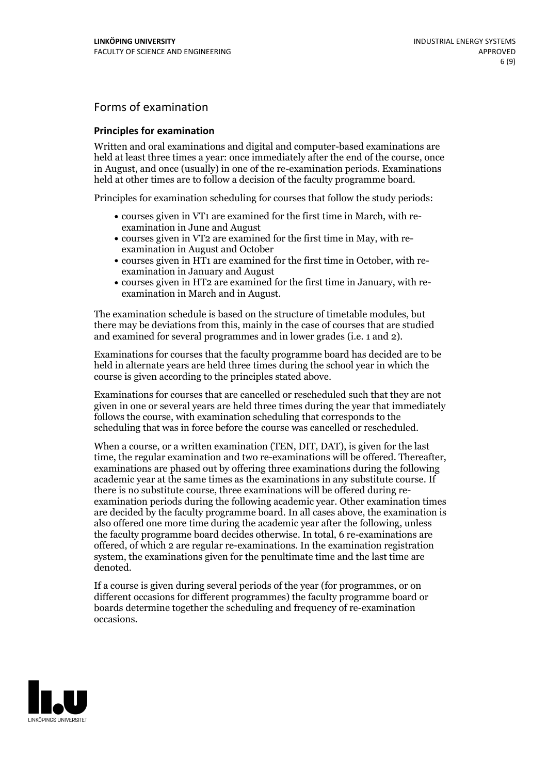## Forms of examination

#### **Principles for examination**

Written and oral examinations and digital and computer-based examinations are held at least three times a year: once immediately after the end of the course, once in August, and once (usually) in one of the re-examination periods. Examinations held at other times are to follow a decision of the faculty programme board.

Principles for examination scheduling for courses that follow the study periods:

- courses given in VT1 are examined for the first time in March, with re-examination in June and August
- courses given in VT2 are examined for the first time in May, with re-examination in August and October
- courses given in HT1 are examined for the first time in October, with re-examination in January and August
- courses given in HT2 are examined for the first time in January, with re-examination in March and in August.

The examination schedule is based on the structure of timetable modules, but there may be deviations from this, mainly in the case of courses that are studied and examined for several programmes and in lower grades (i.e. 1 and 2).

Examinations for courses that the faculty programme board has decided are to be held in alternate years are held three times during the school year in which the course is given according to the principles stated above.

Examinations for courses that are cancelled orrescheduled such that they are not given in one or several years are held three times during the year that immediately follows the course, with examination scheduling that corresponds to the scheduling that was in force before the course was cancelled or rescheduled.

When a course, or a written examination (TEN, DIT, DAT), is given for the last time, the regular examination and two re-examinations will be offered. Thereafter, examinations are phased out by offering three examinations during the following academic year at the same times as the examinations in any substitute course. If there is no substitute course, three examinations will be offered during re- examination periods during the following academic year. Other examination times are decided by the faculty programme board. In all cases above, the examination is also offered one more time during the academic year after the following, unless the faculty programme board decides otherwise. In total, 6 re-examinations are offered, of which 2 are regular re-examinations. In the examination registration system, the examinations given for the penultimate time and the last time are denoted.

If a course is given during several periods of the year (for programmes, or on different occasions for different programmes) the faculty programme board or boards determine together the scheduling and frequency of re-examination occasions.

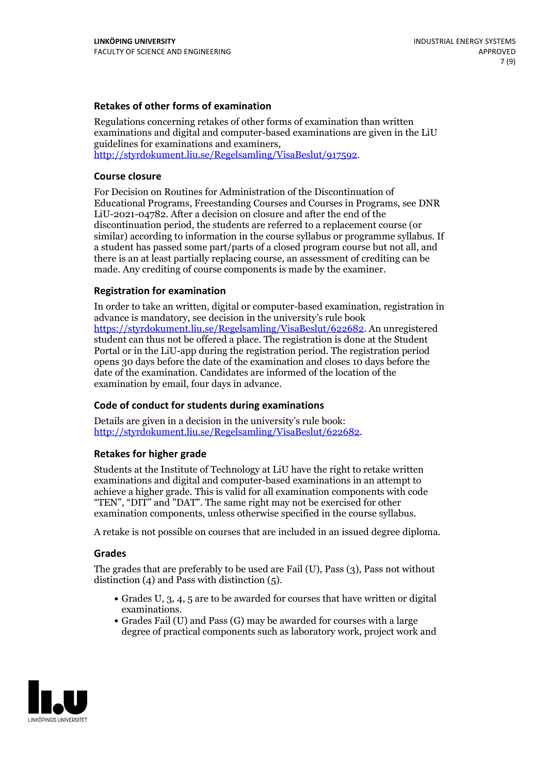### **Retakes of other forms of examination**

Regulations concerning retakes of other forms of examination than written examinations and digital and computer-based examinations are given in the LiU guidelines for examinations and examiners, [http://styrdokument.liu.se/Regelsamling/VisaBeslut/917592.](http://styrdokument.liu.se/Regelsamling/VisaBeslut/917592)

#### **Course closure**

For Decision on Routines for Administration of the Discontinuation of Educational Programs, Freestanding Courses and Courses in Programs, see DNR LiU-2021-04782. After a decision on closure and after the end of the discontinuation period, the students are referred to a replacement course (or similar) according to information in the course syllabus or programme syllabus. If a student has passed some part/parts of a closed program course but not all, and there is an at least partially replacing course, an assessment of crediting can be made. Any crediting of course components is made by the examiner.

### **Registration for examination**

In order to take an written, digital or computer-based examination, registration in advance is mandatory, see decision in the university's rule book [https://styrdokument.liu.se/Regelsamling/VisaBeslut/622682.](https://styrdokument.liu.se/Regelsamling/VisaBeslut/622682) An unregistered student can thus not be offered a place. The registration is done at the Student Portal or in the LiU-app during the registration period. The registration period opens 30 days before the date of the examination and closes 10 days before the date of the examination. Candidates are informed of the location of the examination by email, four days in advance.

### **Code of conduct for students during examinations**

Details are given in a decision in the university's rule book: <http://styrdokument.liu.se/Regelsamling/VisaBeslut/622682>.

#### **Retakes for higher grade**

Students at the Institute of Technology at LiU have the right to retake written examinations and digital and computer-based examinations in an attempt to achieve a higher grade. This is valid for all examination components with code "TEN", "DIT" and "DAT". The same right may not be exercised for other examination components, unless otherwise specified in the course syllabus.

A retake is not possible on courses that are included in an issued degree diploma.

#### **Grades**

The grades that are preferably to be used are Fail (U), Pass (3), Pass not without distinction  $(4)$  and Pass with distinction  $(5)$ .

- Grades U, 3, 4, 5 are to be awarded for courses that have written or digital examinations.<br>• Grades Fail (U) and Pass (G) may be awarded for courses with a large
- degree of practical components such as laboratory work, project work and

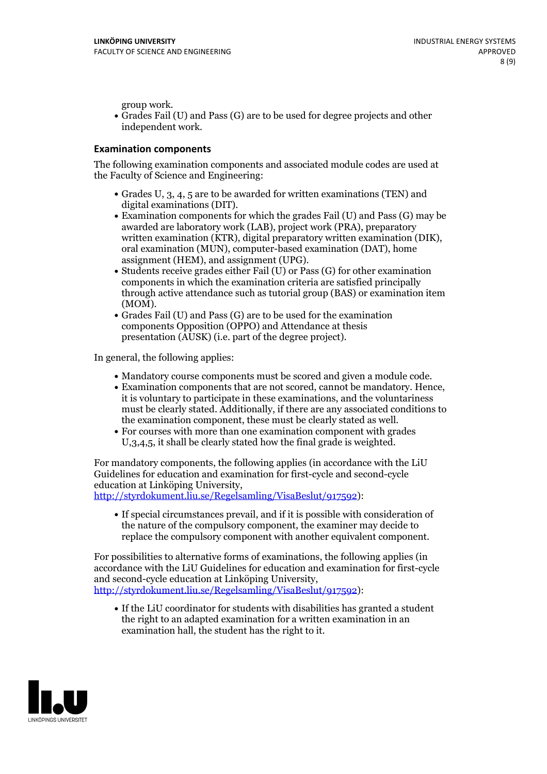group work.<br>• Grades Fail (U) and Pass (G) are to be used for degree projects and other independent work.

### **Examination components**

The following examination components and associated module codes are used at the Faculty of Science and Engineering:

- Grades U, 3, 4, 5 are to be awarded for written examinations (TEN) and
- digital examinations (DIT).<br>• Examination components for which the grades Fail (U) and Pass (G) may be awarded are laboratory work (LAB), project work (PRA), preparatory written examination (KTR), digital preparatory written examination (DIK), oral examination (MUN), computer-based examination (DAT), home
- assignment (HEM), and assignment (UPG).<br>• Students receive grades either Fail (U) or Pass (G) for other examination components in which the examination criteria are satisfied principally through active attendance such as tutorial group (BAS) or examination item
- (MOM).<br>• Grades Fail (U) and Pass (G) are to be used for the examination components Opposition (OPPO) and Attendance at thesis presentation (AUSK) (i.e. part of the degree project).

In general, the following applies:

- 
- Mandatory course components must be scored and given <sup>a</sup> module code. Examination components that are not scored, cannot be mandatory. Hence, it is voluntary to participate in these examinations, and the voluntariness must be clearly stated. Additionally, if there are any associated conditions to
- the examination component, these must be clearly stated as well.<br>• For courses with more than one examination component with grades U,3,4,5, it shall be clearly stated how the final grade is weighted.

For mandatory components, the following applies (in accordance with the LiU Guidelines for education and examination for first-cycle and second-cycle education at Linköping University,<br>[http://styrdokument.liu.se/Regelsamling/VisaBeslut/917592\)](http://styrdokument.liu.se/Regelsamling/VisaBeslut/917592):

If special circumstances prevail, and if it is possible with consideration of the nature of the compulsory component, the examiner may decide to replace the compulsory component with another equivalent component.

For possibilities to alternative forms of examinations, the following applies (in accordance with the LiU Guidelines for education and examination for first-cycle [http://styrdokument.liu.se/Regelsamling/VisaBeslut/917592\)](http://styrdokument.liu.se/Regelsamling/VisaBeslut/917592):

If the LiU coordinator for students with disabilities has granted a student the right to an adapted examination for a written examination in an examination hall, the student has the right to it.